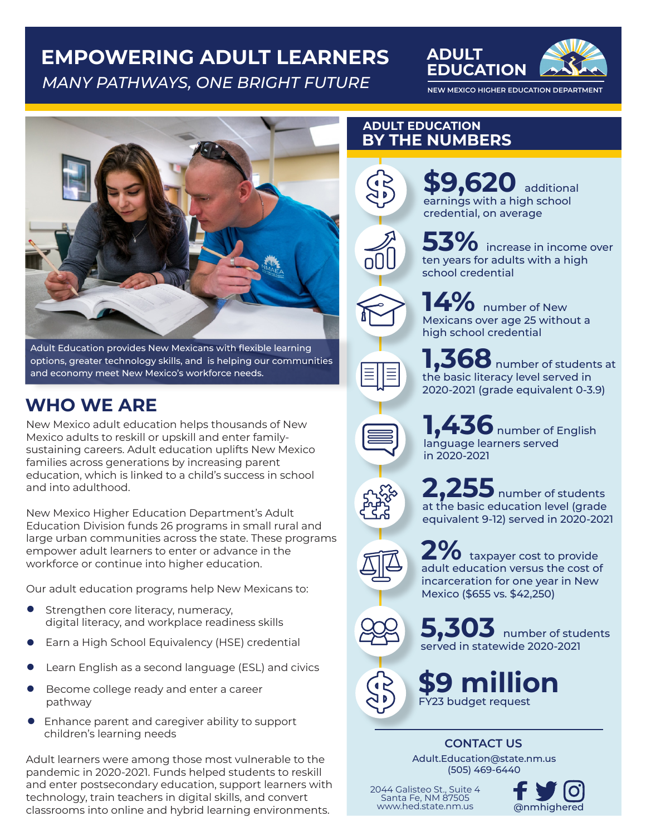# **EMPOWERING ADULT LEARNERS MANY PATHWAYS, ONE BRIGHT FUTURE NEW MEXICO HIGHER EDUCATION DEPARTMENT**





Adult Education provides New Mexicans with flexible learning options, greater technology skills, and is helping our communities and economy meet New Mexico's workforce needs.

# **WHO WE ARE**

New Mexico adult education helps thousands of New Mexico adults to reskill or upskill and enter familysustaining careers. Adult education uplifts New Mexico families across generations by increasing parent education, which is linked to a child's success in school and into adulthood.

New Mexico Higher Education Department's Adult Education Division funds 26 programs in small rural and large urban communities across the state. These programs empower adult learners to enter or advance in the workforce or continue into higher education.

Our adult education programs help New Mexicans to:

- Strengthen core literacy, numeracy, digital literacy, and workplace readiness skills n
- Earn a High School Equivalency (HSE) credential n
- Learn English as a second language (ESL) and civics n
- Become college ready and enter a career pathway n
- **•** Enhance parent and caregiver ability to support children's learning needs

Adult learners were among those most vulnerable to the pandemic in 2020-2021. Funds helped students to reskill and enter postsecondary education, support learners with technology, train teachers in digital skills, and convert classrooms into online and hybrid learning environments.

### **ADULT EDUCATION BY THE NUMBERS**

**ADULT** 





**53%** increase in income over ten years for adults with a high school credential

**9,620** additional earnings with a high school credential, on average

**14%** number of New Mexicans over age 25 without a high school credential

**100** number of students at the basic literacy level served in 2020-2021 (grade equivalent 0-3.9)

**1** number of English language learners served in 2020-2021



**2,255** number of students at the basic education level (grade equivalent 9-12) served in 2020-2021

**20** taxpayer cost to provide adult education versus the cost of incarceration for one year in New Mexico (\$655 vs. \$42,250)



**5,303** number of students served in statewide 2020-2021

**\$9 million**  FY23 budget request

## **CONTACT US**

Adult.Education@state.nm.us (505) 469-6440

2044 Galisteo St., Suite 4 Santa Fe, NM 87505 www.hed.state.nm.us @nmhighered